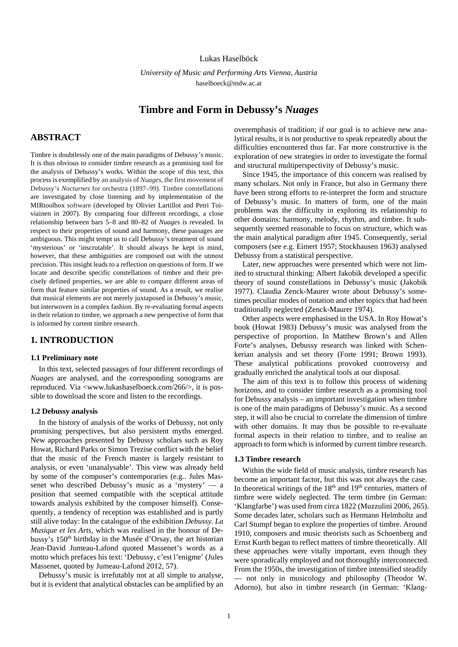### Lukas Haselböck

*University of Music and Performing Arts Vienna, Austria* haselboeck@mdw.ac.at

# **Timbre and Form in Debussy's** *Nuages*

## **ABSTRACT**

Timbre is doubtlessly one of the main paradigms of Debussy's music. It is thus obvious to consider timbre research as a promising tool for the analysis of Debussy's works. Within the scope of this text, this process is exemplified by an analysis of *Nuages*, the first movement of Debussy's *Nocturnes* for orchestra (1897–99). Timbre constellations are investigated by close listening and by implementation of the MIRtoolbox software (developed by Olivier Lartillot and Petri Toiviainen in 2007). By comparing four different recordings, a close relationship between bars 5–8 and 80–82 of *Nuages* is revealed. In respect to their properties of sound and harmony, these passages are ambiguous. This might tempt us to call Debussy's treatment of sound 'mysterious' or 'inscrutable'. It should always be kept in mind, however, that these ambiguities are composed out with the utmost precision. This insight leads to a reflection on questions of form. If we locate and describe specific constellations of timbre and their precisely defined properties, we are able to compare different areas of form that feature similar properties of sound. As a result, we realise that musical elements are not merely juxtaposed in Debussy's music, but interwoven in a complex fashion. By re-evaluating formal aspects in their relation to timbre, we approach a new perspective of form that is informed by current timbre research.

## **1. INTRODUCTION**

#### **1.1 Preliminary note**

In this text, selected passages of four different recordings of *Nuages* are analysed, and the corresponding sonograms are reproduced. Via [<www.lukashaselboeck.com/266/>](http://www.lukashaselboeck.com/266/), it is possible to download the score and listen to the recordings.

#### **1.2 Debussy analysis**

In the history of analysis of the works of Debussy, not only promising perspectives, but also persistent myths emerged. New approaches presented by Debussy scholars such as Roy Howat, Richard Parks or Simon Trezise conflict with the belief that the music of the French master is largely resistant to analysis, or even 'unanalysable'. This view was already held by some of the composer's contemporaries (e.g.. Jules Massenet who described Debussy's music as a 'mystery' — a position that seemed compatible with the sceptical attitude towards analysis exhibited by the composer himself). Consequently, a tendency of reception was established and is partly still alive today: In the catalogue of the exhibition *Debussy. La Musique et les Arts*, which was realised in the honour of Debussy's 150<sup>th</sup> birthday in the Musée d'Orsay, the art historian Jean-David Jumeau-Lafond quoted Massenet's words as a motto which prefaces his text: 'Debussy, c'est l'enigme' (Jules Massenet, quoted by Jumeau-Lafond 2012, 57).

Debussy's music is irrefutably not at all simple to analyse, but it is evident that analytical obstacles can be amplified by an overemphasis of tradition; if our goal is to achieve new analytical results, it is not productive to speak repeatedly about the difficulties encountered thus far. Far more constructive is the exploration of new strategies in order to investigate the formal and structural multiperspectivity of Debussy's music.

Since 1945, the importance of this concern was realised by many scholars. Not only in France, but also in Germany there have been strong efforts to re-interpret the form and structure of Debussy's music. In matters of form, one of the main problems was the difficulty in exploring its relationship to other domains: harmony, melody, rhythm, and timbre. It subsequently seemed reasonable to focus on structure, which was the main analytical paradigm after 1945. Consequently, serial composers (see e.g. Eimert 1957; Stockhausen 1963) analysed Debussy from a statistical perspective.

Later, new approaches were presented which were not limited to structural thinking: Albert Jakobik developed a specific theory of sound constellations in Debussy's music (Jakobik 1977). Claudia Zenck-Maurer wrote about Debussy's sometimes peculiar modes of notation and other topics that had been traditionally neglected (Zenck-Maurer 1974).

Other aspects were emphasised in the USA. In Roy Howat's book (Howat 1983) Debussy's music was analysed from the perspective of proportion. In Matthew Brown's and Allen Forte's analyses, Debussy research was linked with Schenkerian analysis and set theory (Forte 1991; Brown 1993). These analytical publications provoked controversy and gradually enriched the analytical tools at our disposal.

The aim of this text is to follow this process of widening horizons, and to consider timbre research as a promising tool for Debussy analysis – an important investigation when timbre is one of the main paradigms of Debussy's music. As a second step, it will also be crucial to correlate the dimension of timbre with other domains. It may thus be possible to re-evaluate formal aspects in their relation to timbre, and to realise an approach to form which is informed by current timbre research.

#### **1.3 Timbre research**

Within the wide field of music analysis, timbre research has become an important factor, but this was not always the case. In theoretical writings of the  $18<sup>th</sup>$  and  $19<sup>th</sup>$  centuries, matters of timbre were widely neglected. The term timbre (in German: 'Klangfarbe') was used from circa 1822 (Muzzulini 2006, 265). Some decades later, scholars such as Hermann Helmholtz and Carl Stumpf began to explore the properties of timbre. Around 1910, composers and music theorists such as Schoenberg and Ernst Kurth began to reflect matters of timbre theoretically. All these approaches were vitally important, even though they were sporadically employed and not thoroughly interconnected. From the 1950s, the investigation of timbre intensified steadily — not only in musicology and philosophy (Theodor W. Adorno), but also in timbre research (in German: 'Klang-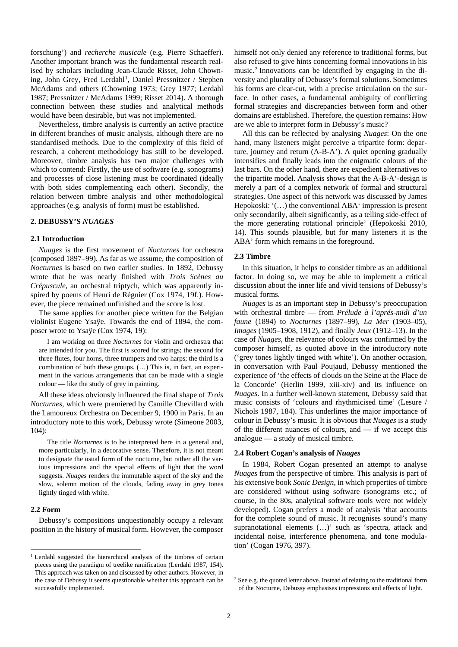forschung') and *recherche musicale* (e.g. Pierre Schaeffer). Another important branch was the fundamental research realised by scholars including Jean-Claude Risset, John Chown-ing, John Grey, Fred Lerdahl<sup>[1](#page-1-0)</sup>, Daniel Pressnitzer / Stephen McAdams and others (Chowning 1973; Grey 1977; Lerdahl 1987; Pressnitzer / McAdams 1999; Risset 2014). A thorough connection between these studies and analytical methods would have been desirable, but was not implemented.

Nevertheless, timbre analysis is currently an active practice in different branches of music analysis, although there are no standardised methods. Due to the complexity of this field of research, a coherent methodology has still to be developed. Moreover, timbre analysis has two major challenges with which to contend: Firstly, the use of software (e.g. sonograms) and processes of close listening must be coordinated (ideally with both sides complementing each other). Secondly, the relation between timbre analysis and other methodological approaches (e.g. analysis of form) must be established.

#### **2. DEBUSSY'S** *NUAGES*

#### **2.1 Introduction**

*Nuages* is the first movement of *Nocturnes* for orchestra (composed 1897–99). As far as we assume, the composition of *Nocturnes* is based on two earlier studies. In 1892, Debussy wrote that he was nearly finished with *Trois Scènes au Crépuscule*, an orchestral triptych, which was apparently inspired by poems of [Henri de Régnier](https://en.wikipedia.org/wiki/Henri_de_R%C3%A9gnier) (Cox 1974, 19f.). However, the piece remained unfinished and the score is lost.

The same applies for another piece written for the Belgian violinist Eugene Ysaÿe. Towards the end of 1894, the composer wrote to Ysaÿe (Cox 1974, 19):

I am working on three *Nocturnes* for violin and orchestra that are intended for you. The first is scored for strings; the second for three flutes, four horns, three trumpets and two harps; the third is a combination of both these groups. (…) This is, in fact, an experiment in the various arrangements that can be made with a single colour — like the study of grey in painting.

All these ideas obviously influenced the final shape of *Trois Nocturnes*, which were premiered by [Camille Chevillard](https://en.wikipedia.org/wiki/Camille_Chevillard) with the [Lamoureux Orchestra](https://en.wikipedia.org/wiki/Lamoureux_Orchestra) on December 9, 1900 in Paris. In an introductory note to this work, Debussy wrote (Simeone 2003, 104):

The title *Nocturnes* is to be interpreted here in a general and, more particularly, in a decorative sense. Therefore, it is not meant to designate the usual form of the nocturne, but rather all the various impressions and the special effects of light that the word suggests. *Nuages* renders the immutable aspect of the sky and the slow, solemn motion of the clouds, fading away in grey tones lightly tinged with white.

### **2.2 Form**

Debussy's compositions unquestionably occupy a relevant position in the history of musical form. However, the composer himself not only denied any reference to traditional forms, but also refused to give hints concerning formal innovations in his music.[2](#page-1-1) Innovations can be identified by engaging in the diversity and plurality of Debussy's formal solutions. Sometimes his forms are clear-cut, with a precise articulation on the surface. In other cases, a fundamental ambiguity of conflicting formal strategies and discrepancies between form and other domains are established. Therefore, the question remains: How are we able to interpret form in Debussy's music?

All this can be reflected by analysing *Nuages*: On the one hand, many listeners might perceive a tripartite form: departure, journey and return (A-B-A'). A quiet opening gradually intensifies and finally leads into the enigmatic colours of the last bars. On the other hand, there are expedient alternatives to the tripartite model. Analysis shows that the A-B-A'-design is merely a part of a complex network of formal and structural strategies. One aspect of this network was discussed by James Hepokoski: '(…) the conventional ABA' impression is present only secondarily, albeit significantly, as a telling side-effect of the more generating rotational principle' (Hepokoski 2010, 14). This sounds plausible, but for many listeners it is the ABA' form which remains in the foreground.

#### **2.3 Timbre**

In this situation, it helps to consider timbre as an additional factor. In doing so, we may be able to implement a critical discussion about the inner life and vivid tensions of Debussy's musical forms.

*Nuages* is as an important step in Debussy's preoccupation with orchestral timbre — from *Prélude à l'aprés-midi d'un faune* (1894) to *Nocturnes* (1897–99), *La Mer* (1903–05), *Images* (1905–1908, 1912), and finally *Jeux* (1912–13). In the case of *Nuages,* the relevance of colours was confirmed by the composer himself, as quoted above in the introductory note ('grey tones lightly tinged with white'). On another occasion, in conversation with Paul Poujaud, Debussy mentioned the experience of 'the effects of clouds on the Seine at the Place de la Concorde' (Herlin 1999, xiii-xiv) and its influence on *Nuages*. In a further well-known statement, Debussy said that music consists of 'colours and rhythmicised time' (Lesure / Nichols 1987, 184). This underlines the major importance of colour in Debussy's music. It is obvious that *Nuages* is a study of the different nuances of colours, and — if we accept this analogue — a study of musical timbre.

#### **2.4 Robert Cogan's analysis of** *Nuages*

In 1984, Robert Cogan presented an attempt to analyse *Nuages* from the perspective of timbre. This analysis is part of his extensive book *Sonic Design*, in which properties of timbre are considered without using software (sonograms etc.; of course, in the 80s, analytical software tools were not widely developed). Cogan prefers a mode of analysis 'that accounts for the complete sound of music. It recognises sound's many supranotational elements (…)' such as 'spectra, attack and incidental noise, interference phenomena, and tone modulation' (Cogan 1976, 397).

<span id="page-1-1"></span><span id="page-1-0"></span><sup>&</sup>lt;sup>1</sup> Lerdahl suggested the hierarchical analysis of the timbres of certain pieces using the paradigm of treelike ramification (Lerdahl 1987, 154). This approach was taken on and discussed by other authors. However, in the case of Debussy it seems questionable whether this approach can be successfully implemented.

<sup>&</sup>lt;sup>2</sup> See e.g. the quoted letter above. Instead of relating to the traditional form of the Nocturne, Debussy emphasises impressions and effects of light.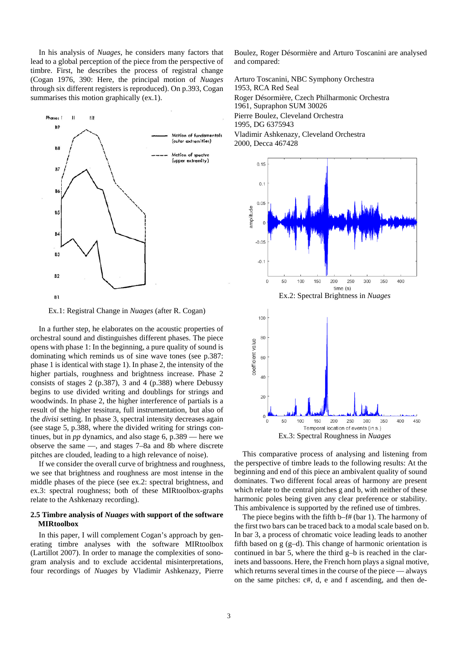In his analysis of *Nuages*, he considers many factors that lead to a global perception of the piece from the perspective of timbre. First, he describes the process of registral change (Cogan 1976, 390: Here, the principal motion of *Nuages* through six different registers is reproduced). On p.393, Cogan summarises this motion graphically (ex.1).



Ex.1: Registral Change in *Nuages* (after R. Cogan)

In a further step, he elaborates on the acoustic properties of orchestral sound and distinguishes different phases. The piece opens with phase 1: In the beginning, a pure quality of sound is dominating which reminds us of sine wave tones (see p.387: phase 1 is identical with stage 1). In phase 2, the intensity of the higher partials, roughness and brightness increase. Phase 2 consists of stages 2 (p.387), 3 and 4 (p.388) where Debussy begins to use divided writing and doublings for strings and woodwinds. In phase 2, the higher interference of partials is a result of the higher tessitura, full instrumentation, but also of the *divisi* setting. In phase 3, spectral intensity decreases again (see stage 5, p.388, where the divided writing for strings continues, but in *pp* dynamics, and also stage 6, p.389 — here we observe the same —, and stages 7–8a and 8b where discrete pitches are clouded, leading to a high relevance of noise).

If we consider the overall curve of brightness and roughness, we see that brightness and roughness are most intense in the middle phases of the piece (see ex.2: spectral brightness, and ex.3: spectral roughness; both of these MIRtoolbox-graphs relate to the Ashkenazy recording).

### **2.5 Timbre analysis of** *Nuages* **with support of the software MIRtoolbox**

In this paper, I will complement Cogan's approach by generating timbre analyses with the software MIRtoolbox (Lartillot 2007). In order to manage the complexities of sonogram analysis and to exclude accidental misinterpretations, four recordings of *Nuages* by Vladimir Ashkenazy, Pierre Boulez, Roger Désormière and Arturo Toscanini are analysed and compared:

Arturo Toscanini, NBC Symphony Orchestra 1953, RCA Red Seal Roger Désormière, Czech Philharmonic Orchestra 1961, Supraphon SUM 30026 Pierre Boulez, Cleveland Orchestra 1995, DG 6375943

Vladimir Ashkenazy, Cleveland Orchestra 2000, Decca 467428



Ex.3: Spectral Roughness in *Nuages*

This comparative process of analysing and listening from the perspective of timbre leads to the following results: At the beginning and end of this piece an ambivalent quality of sound dominates. Two different focal areas of harmony are present which relate to the central pitches g and b, with neither of these harmonic poles being given any clear preference or stability. This ambivalence is supported by the refined use of timbres.

The piece begins with the fifth b–f# (bar 1). The harmony of the first two bars can be traced back to a modal scale based on b. In bar 3, a process of chromatic voice leading leads to another fifth based on g (g–d). This change of harmonic orientation is continued in bar 5, where the third g–b is reached in the clarinets and bassoons. Here, the French horn plays a signal motive, which returns several times in the course of the piece — always on the same pitches: c#, d, e and f ascending, and then de-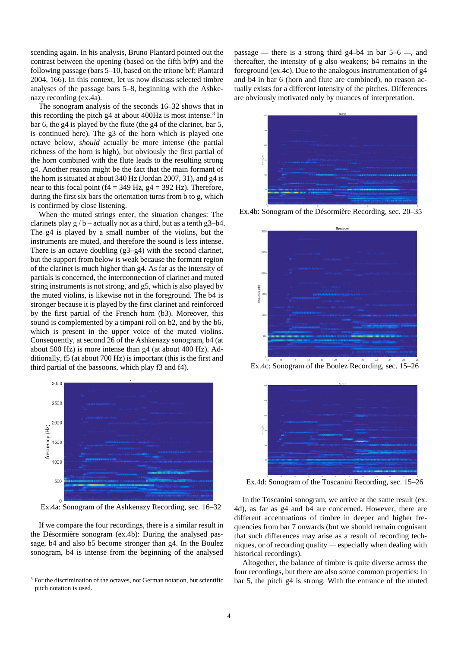scending again. In his analysis, Bruno Plantard pointed out the contrast between the opening (based on the fifth b/f#) and the following passage (bars 5–10, based on the tritone b/f; Plantard 2004, 166). In this context, let us now discuss selected timbre analyses of the passage bars 5–8, beginning with the Ashkenazy recording (ex.4a).

The sonogram analysis of the seconds 16–32 shows that in this recording the pitch g4 at about 400Hz is most intense.<sup>[3](#page-3-0)</sup> In bar 6, the g4 is played by the flute (the g4 of the clarinet, bar 5, is continued here). The g3 of the horn which is played one octave below, *should* actually be more intense (the partial richness of the horn is high), but obviously the first partial of the horn combined with the flute leads to the resulting strong g4. Another reason might be the fact that the main formant of the horn is situated at about 340 Hz (Jordan 2007, 31), and g4 is near to this focal point (f4 = 349 Hz,  $g4 = 392$  Hz). Therefore, during the first six bars the orientation turns from b to g, which is confirmed by close listening.

When the muted strings enter, the situation changes: The clarinets play  $g / b$  – actually not as a third, but as a tenth g3–b4. The g4 is played by a small number of the violins, but the instruments are muted, and therefore the sound is less intense. There is an octave doubling (g3–g4) with the second clarinet, but the support from below is weak because the formant region of the clarinet is much higher than g4. As far as the intensity of partials is concerned, the interconnection of clarinet and muted string instruments is not strong, and g5, which is also played by the muted violins, is likewise not in the foreground. The b4 is stronger because it is played by the first clarinet and reinforced by the first partial of the French horn (b3). Moreover, this sound is complemented by a timpani roll on b2, and by the b6, which is present in the upper voice of the muted violins. Consequently, at second 26 of the Ashkenazy sonogram, b4 (at about 500 Hz) is more intense than g4 (at about 400 Hz). Additionally, f5 (at about 700 Hz) is important (this is the first and third partial of the bassoons, which play f3 and f4).



Ex.4a: Sonogram of the Ashkenazy Recording, sec. 16–32

If we compare the four recordings, there is a similar result in the Désormière sonogram (ex.4b): During the analysed passage, b4 and also b5 become stronger than g4. In the Boulez sonogram, b4 is intense from the beginning of the analysed passage — there is a strong third  $g4-b4$  in bar  $5-6$  —, and thereafter, the intensity of g also weakens; b4 remains in the foreground (ex.4c). Due to the analogous instrumentation of g4 and b4 in bar 6 (horn and flute are combined), no reason actually exists for a different intensity of the pitches. Differences are obviously motivated only by nuances of interpretation.



Ex.4b: Sonogram of the Désormière Recording, sec. 20–35



Ex.4c: Sonogram of the Boulez Recording, sec. 15–26



Ex.4d: Sonogram of the Toscanini Recording, sec. 15–26

In the Toscanini sonogram, we arrive at the same result (ex. 4d), as far as g4 and b4 are concerned. However, there are different accentuations of timbre in deeper and higher frequencies from bar 7 onwards (but we should remain cognisant that such differences may arise as a result of recording techniques, or of recording quality — especially when dealing with historical recordings).

Altogether, the balance of timbre is quite diverse across the four recordings, but there are also some common properties: In bar 5, the pitch g4 is strong. With the entrance of the muted

<span id="page-3-0"></span><sup>&</sup>lt;sup>3</sup> For the discrimination of the octaves, not German notation, but scientific pitch notation is used.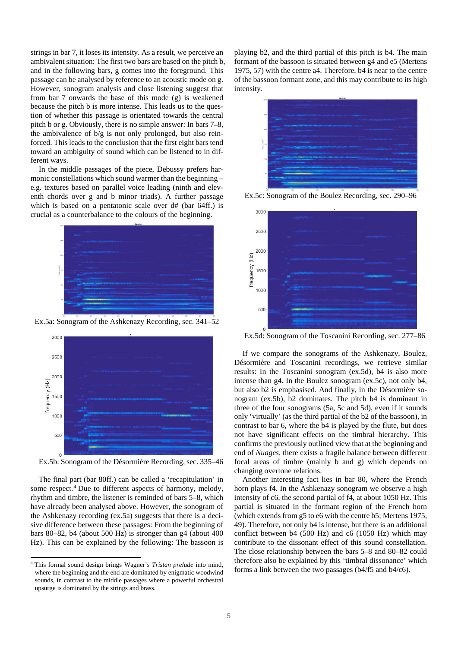strings in bar 7, it loses its intensity. As a result, we perceive an ambivalent situation: The first two bars are based on the pitch b, and in the following bars, g comes into the foreground. This passage can be analysed by reference to an acoustic mode on g. However, sonogram analysis and close listening suggest that from bar 7 onwards the base of this mode (g) is weakened because the pitch b is more intense. This leads us to the question of whether this passage is orientated towards the central pitch b or g. Obviously, there is no simple answer: In bars 7–8, the ambivalence of b/g is not only prolonged, but also reinforced. This leads to the conclusion that the first eight bars tend toward an ambiguity of sound which can be listened to in different ways.

In the middle passages of the piece, Debussy prefers harmonic constellations which sound warmer than the beginning – e.g. textures based on parallel voice leading (ninth and eleventh chords over g and b minor triads). A further passage which is based on a pentatonic scale over d# (bar 64ff.) is crucial as a counterbalance to the colours of the beginning.



Ex.5a: Sonogram of the Ashkenazy Recording, sec. 341–52



Ex.5b: Sonogram of the Désormière Recording, sec. 335–46

The final part (bar 80ff.) can be called a 'recapitulation' in some respect.<sup>[4](#page-4-0)</sup> Due to different aspects of harmony, melody, rhythm and timbre, the listener is reminded of bars 5–8, which have already been analysed above. However, the sonogram of the Ashkenazy recording (ex.5a) suggests that there is a decisive difference between these passages: From the beginning of bars 80–82, b4 (about 500 Hz) is stronger than g4 (about 400 Hz). This can be explained by the following: The bassoon is

playing b2, and the third partial of this pitch is b4. The main formant of the bassoon is situated between g4 and e5 (Mertens 1975, 57) with the centre a4. Therefore, b4 is near to the centre of the bassoon formant zone, and this may contribute to its high intensity.



Ex.5c: Sonogram of the Boulez Recording, sec. 290–96



Ex.5d: Sonogram of the Toscanini Recording, sec. 277–86

If we compare the sonograms of the Ashkenazy, Boulez, Désormière and Toscanini recordings, we retrieve similar results: In the Toscanini sonogram (ex.5d), b4 is also more intense than g4. In the Boulez sonogram (ex.5c), not only b4, but also b2 is emphasised. And finally, in the Désormière sonogram (ex.5b), b2 dominates. The pitch b4 is dominant in three of the four sonograms (5a, 5c and 5d), even if it sounds only 'virtually' (as the third partial of the b2 of the bassoon), in contrast to bar 6, where the b4 is played by the flute, but does not have significant effects on the timbral hierarchy. This confirms the previously outlined view that at the beginning and end of *Nuages*, there exists a fragile balance between different focal areas of timbre (mainly b and g) which depends on changing overtone relations.

Another interesting fact lies in bar 80, where the French horn plays f4. In the Ashkenazy sonogram we observe a high intensity of c6, the second partial of f4, at about 1050 Hz. This partial is situated in the formant region of the French horn (which extends from g5 to e6 with the centre b5; Mertens 1975, 49). Therefore, not only b4 is intense, but there is an additional conflict between b4 (500 Hz) and c6 (1050 Hz) which may contribute to the dissonant effect of this sound constellation. The close relationship between the bars 5–8 and 80–82 could therefore also be explained by this 'timbral dissonance' which forms a link between the two passages (b4/f5 and b4/c6).

<span id="page-4-0"></span> <sup>4</sup> This formal sound design brings Wagner's *Tristan prelude* into mind, where the beginning and the end are dominated by enigmatic woodwind sounds, in contrast to the middle passages where a powerful orchestral upsurge is dominated by the strings and brass.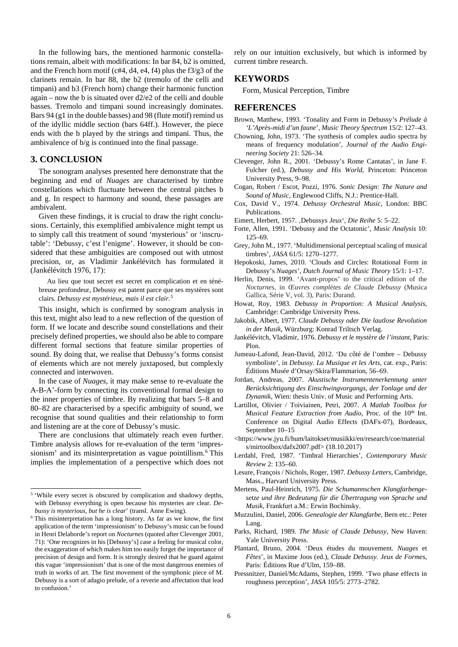In the following bars, the mentioned harmonic constellations remain, albeit with modifications: In bar 84, b2 is omitted, and the French horn motif (c#4, d4, e4, f4) plus the f3/g3 of the clarinets remain. In bar 88, the b2 (tremolo of the celli and timpani) and b3 (French horn) change their harmonic function again – now the b is situated over d2/e2 of the celli and double basses. Tremolo and timpani sound increasingly dominates. Bars 94 (g1 in the double basses) and 98 (flute motif) remind us of the idyllic middle section (bars 64ff.). However, the piece ends with the b played by the strings and timpani. Thus, the ambivalence of b/g is continued into the final passage.

## **3. CONCLUSION**

The sonogram analyses presented here demonstrate that the beginning and end of *Nuages* are characterised by timbre constellations which fluctuate between the central pitches b and g. In respect to harmony and sound, these passages are ambivalent.

Given these findings, it is crucial to draw the right conclusions. Certainly, this exemplified ambivalence might tempt us to simply call this treatment of sound 'mysterious' or 'inscrutable': 'Debussy, c'est l'enigme'. However, it should be considered that these ambiguities are composed out with utmost precision, or, as Vladimir Jankélévitch has formulated it (Jankélévitch 1976, 17):

Au lieu que tout secret est secret en complication et en ténébreuse profondeur, Debussy est patent parce que ses mystères sont clairs. *Debussy est mystérieux, mais il est clair.* [5](#page-5-0)

This insight, which is confirmed by sonogram analysis in this text, might also lead to a new reflection of the question of form. If we locate and describe sound constellations and their precisely defined properties, we should also be able to compare different formal sections that feature similar properties of sound. By doing that, we realise that Debussy's forms consist of elements which are not merely juxtaposed, but complexly connected and interwoven.

In the case of *Nuages*, it may make sense to re-evaluate the A-B-A'-form by connecting its conventional formal design to the inner properties of timbre. By realizing that bars 5–8 and 80–82 are characterised by a specific ambiguity of sound, we recognise that sound qualities and their relationship to form and listening are at the core of Debussy's music.

There are conclusions that ultimately reach even further. Timbre analysis allows for re-evaluation of the term 'impressionism' and its misinterpretation as vague pointillism. [6](#page-5-1) This implies the implementation of a perspective which does not

rely on our intuition exclusively, but which is informed by current timbre research.

## **KEYWORDS**

Form, Musical Perception, Timbre

## **REFERENCES**

- Brown, Matthew, 1993. 'Tonality and Form in Debussy's *Prélude à 'L'Après-midi d'un faune*', *Music Theory Spectrum* 15/2: 127–43.
- Chowning, John, 1973. 'The synthesis of complex audio spectra by means of frequency modulation', *Journal of the Audio Engineering Society* 21: 526–34.
- Clevenger, John R., 2001. 'Debussy's Rome Cantatas', in Jane F. Fulcher (ed.), *Debussy and His World*, Princeton: Princeton University Press, 9–98.
- Cogan, Robert / Escot, Pozzi, 1976. *Sonic Design: The Nature and Sound of Music*, Englewood Cliffs, N.J.: Prentice-Hall.
- Cox, David V., 1974. *Debussy Orchestral Music*, London: BBC Publications.
- Eimert, Herbert, 1957. ,Debussys Jeux', Die Reihe 5: 5-22.
- Forte, Allen, 1991. 'Debussy and the Octatonic', *Music Analysis* 10: 125–69.
- Grey, John M., 1977. 'Multidimensional perceptual scaling of musical timbres', *JASA* 61/5: 1270–1277.
- Hepokoski, James, 2010. 'Clouds and Circles: Rotational Form in Debussy's *Nuages*', *Dutch Journal of Music Theory* 15*/*1: 1–17.
- Herlin, Denis, 1999. 'Avant-propos' to the critical edition of the *Nocturnes,* in *Œuvres complètes de Claude Debussy* (Musica Gallica, Série V, vol. 3), Paris: Durand.
- Howat, Roy, 1983. *Debussy in Proportion: A Musical Analysis*, Cambridge: Cambridge University Press.
- Jakobik, Albert, 1977. *Claude Debussy oder Die lautlose Revolution in der Musik*, Würzburg: Konrad Triltsch Verlag.
- Jankélévitch, Vladimir, 1976. *Debussy et le mystère de l'instant*, Paris: Plon.
- Jumeau-Lafond, Jean-David, 2012. 'Du côté de l'ombre Debussy symboliste', in *Debussy. La Musique et les Arts*, cat. exp., Paris: Éditions Musée d'Orsay/Skira/Flammarion, 56–69.
- Jordan, Andreas, 2007. *Akustische Instrumentenerkennung unter Berücksichtigung des Einschwingvorgangs, der Tonlage und der Dynamik*, Wien: thesis Univ. of Music and Performing Arts.
- Lartillot, Olivier / Toiviainen, Petri, 2007. *A Matlab Toolbox for Musical Feature Extraction from Audio*, Proc. of the 10<sup>th</sup> Int. Conference on Digital Audio Effects (DAFx-07), Bordeaux, September 10–15
- [<https://www.jyu.fi/hum/laitokset/musiikki/en/research/coe/material](https://www.jyu.fi/hum/laitokset/musiikki/en/research/coe/materials/mirtoolbox/dafx2007.pdf) [s/mirtoolbox/dafx2007.pdf>](https://www.jyu.fi/hum/laitokset/musiikki/en/research/coe/materials/mirtoolbox/dafx2007.pdf) (18.10.2017)
- Lerdahl, Fred, 1987. 'Timbral Hierarchies', *Contemporary Music Review* 2: 135–60.
- Lesure, François / Nichols, Roger, 1987. *Debussy Letters*, Cambridge, Mass., Harvard University Press.
- Mertens, Paul-Heinrich, 1975. *Die Schumannschen Klangfarbengesetze und ihre Bedeutung für die Übertragung von Sprache und Musik*, Frankfurt a.M.: Erwin Bochinsky.
- Muzzulini, Daniel, 2006. *Genealogie der Klangfarbe*, Bern etc.: Peter Lang.
- Parks, Richard, 1989. *The Music of Claude Debussy*, New Haven: Yale University Press.
- Plantard, Bruno, 2004. 'Deux études du mouvement. *Nuages* et *Fêtes*', in Maxime Joos (ed.), *Claude Debussy. Jeux de Formes*, Paris: Éditions Rue d'Ulm, 159–88.
- Pressnitzer, Daniel/McAdams, Stephen, 1999. 'Two phase effects in roughness perception', *JASA* 105/5: 2773–2782.

<span id="page-5-0"></span><sup>&</sup>lt;sup>5</sup> 'While every secret is obscured by complication and shadowy depths, with Debussy everything is open because his mysteries are clear. *Debussy is mysterious, but he is clear*' (transl. Anne Ewing).

<span id="page-5-1"></span><sup>6</sup> This misinterpretation has a long history. As far as we know, the first application of the term 'impressionism' to Debussy's music can be found in Henri Delaborde's report on *Nocturnes* (quoted after Clevenger 2001, 71): 'One recognizes in his [Debussy's] case a feeling for musical color, the exaggeration of which makes him too easily forget the importance of precision of design and form. It is strongly desired that he guard against this vague 'impressionism' that is one of the most dangerous enemies of truth in works of art. The first movement of the symphonic piece of M. Debussy is a sort of adagio prelude, of a reverie and affectation that lead to confusion.'